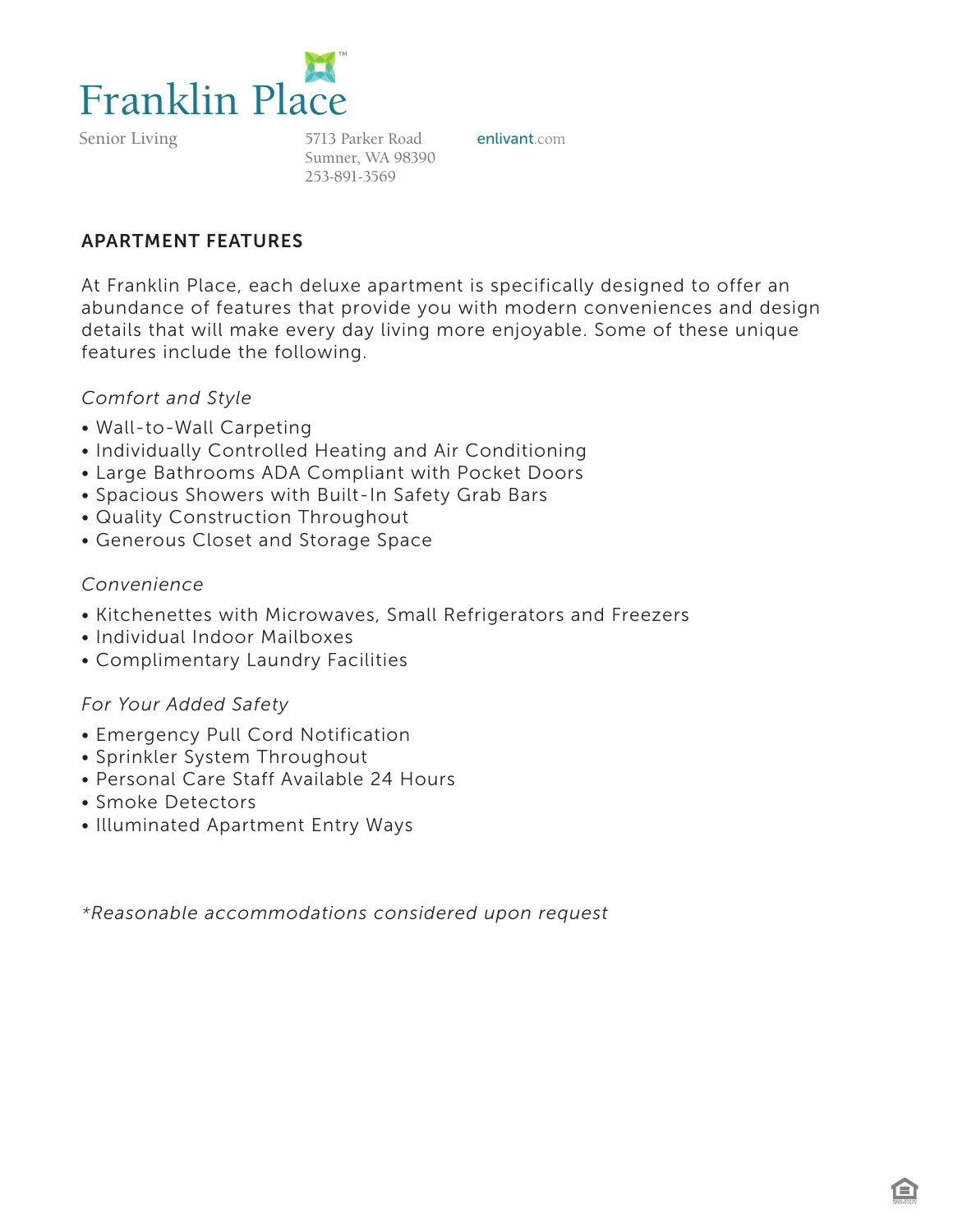

Senior Living

5713 Parker Road **enlivant**.com Sumner, WA 98390 253-891-3569

## APARTMENT FEATURES

At Franklin Place, each deluxe apartment is specifically designed to offer an abundance of features that provide you with modern conveniences and design details that will make every day living more enjoyable. Some of these unique features include the following.

### *Comfort and Style*

- Wall-to-Wall Carpeting
- Individually Controlled Heating and Air Conditioning
- Large Bathrooms ADA Compliant with Pocket Doors
- Spacious Showers with Built-In Safety Grab Bars
- Quality Construction Throughout
- Generous Closet and Storage Space

### *Convenience*

- Kitchenettes with Microwaves, Small Refrigerators and Freezers
- Individual Indoor Mailboxes
- Complimentary Laundry Facilities

## *For Your Added Safety*

- Emergency Pull Cord Notification
- Sprinkler System Throughout
- Personal Care Staff Available 24 Hours
- Smoke Detectors
- Illuminated Apartment Entry Ways

*\*Reasonable accommodations considered upon request*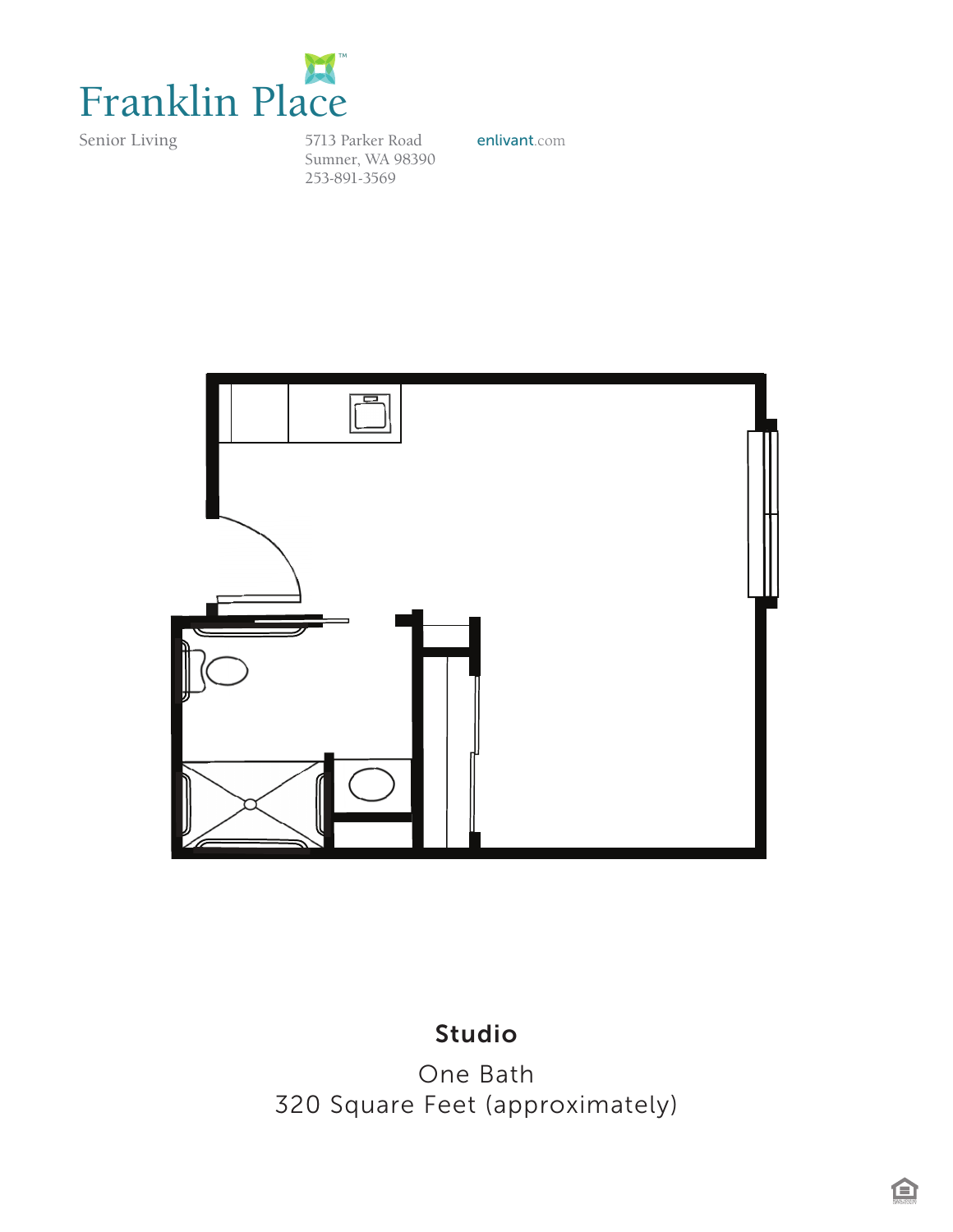

Senior Living

5713 Parker Road enlivant.com Sumner, WA 98390 253-891-3569



## Studio

One Bath 320 Square Feet (approximately)